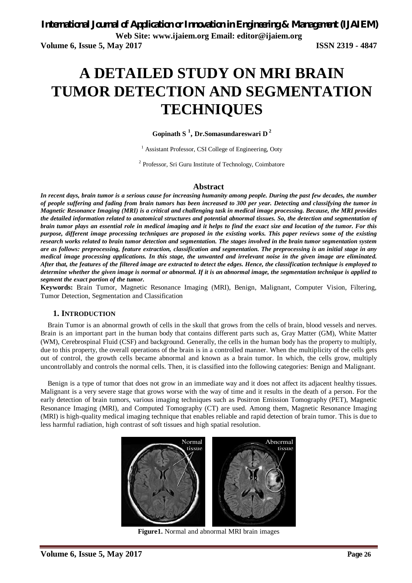# **A DETAILED STUDY ON MRI BRAIN TUMOR DETECTION AND SEGMENTATION TECHNIQUES**

**Gopinath S <sup>1</sup> , Dr.Somasundareswari D <sup>2</sup>**

<sup>1</sup> Assistant Professor, CSI College of Engineering, Ooty

<sup>2</sup> Professor, Sri Guru Institute of Technology, Coimbatore

#### **Abstract**

*In recent days, brain tumor is a serious cause for increasing humanity among people. During the past few decades, the number of people suffering and fading from brain tumors has been increased to 300 per year. Detecting and classifying the tumor in Magnetic Resonance Imaging (MRI) is a critical and challenging task in medical image processing. Because, the MRI provides the detailed information related to anatomical structures and potential abnormal tissues. So, the detection and segmentation of brain tumor plays an essential role in medical imaging and it helps to find the exact size and location of the tumor. For this purpose, different image processing techniques are proposed in the existing works. This paper reviews some of the existing research works related to brain tumor detection and segmentation. The stages involved in the brain tumor segmentation system are as follows: preprocessing, feature extraction, classification and segmentation. The preprocessing is an initial stage in any medical image processing applications. In this stage, the unwanted and irrelevant noise in the given image are eliminated. After that, the features of the filtered image are extracted to detect the edges. Hence, the classification technique is employed to determine whether the given image is normal or abnormal. If it is an abnormal image, the segmentation technique is applied to segment the exact portion of the tumor.* 

**Keywords:** Brain Tumor, Magnetic Resonance Imaging (MRI), Benign, Malignant, Computer Vision, Filtering, Tumor Detection, Segmentation and Classification

#### **1. INTRODUCTION**

Brain Tumor is an abnormal growth of cells in the skull that grows from the cells of brain, blood vessels and nerves. Brain is an important part in the human body that contains different parts such as, Gray Matter (GM), White Matter (WM), Cerebrospinal Fluid (CSF) and background. Generally, the cells in the human body has the property to multiply, due to this property, the overall operations of the brain is in a controlled manner. When the multiplicity of the cells gets out of control, the growth cells became abnormal and known as a brain tumor. In which, the cells grow, multiply uncontrollably and controls the normal cells. Then, it is classified into the following categories: Benign and Malignant.

Benign is a type of tumor that does not grow in an immediate way and it does not affect its adjacent healthy tissues. Malignant is a very severe stage that grows worse with the way of time and it results in the death of a person. For the early detection of brain tumors, various imaging techniques such as Positron Emission Tomography (PET), Magnetic Resonance Imaging (MRI), and Computed Tomography (CT) are used. Among them, Magnetic Resonance Imaging (MRI) is high-quality medical imaging technique that enables reliable and rapid detection of brain tumor. This is due to less harmful radiation, high contrast of soft tissues and high spatial resolution.



**Figure1.** Normal and abnormal MRI brain images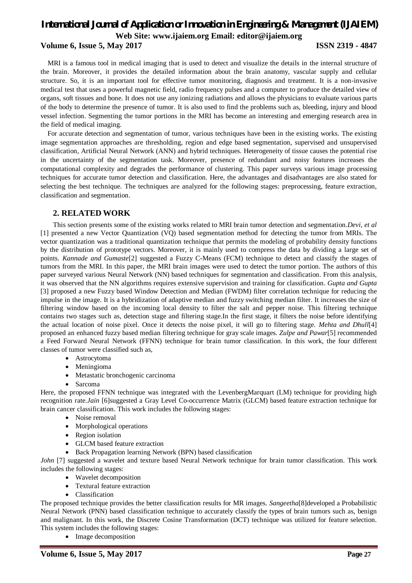### **Volume 6, Issue 5, May 2017 ISSN 2319 - 4847**

MRI is a famous tool in medical imaging that is used to detect and visualize the details in the internal structure of the brain. Moreover, it provides the detailed information about the brain anatomy, vascular supply and cellular structure. So, it is an important tool for effective tumor monitoring, diagnosis and treatment. It is a non-invasive medical test that uses a powerful magnetic field, radio frequency pulses and a computer to produce the detailed view of organs, soft tissues and bone. It does not use any ionizing radiations and allows the physicians to evaluate various parts of the body to determine the presence of tumor. It is also used to find the problems such as, bleeding, injury and blood vessel infection. Segmenting the tumor portions in the MRI has become an interesting and emerging research area in the field of medical imaging.

For accurate detection and segmentation of tumor, various techniques have been in the existing works. The existing image segmentation approaches are thresholding, region and edge based segmentation, supervised and unsupervised classification, Artificial Neural Network (ANN) and hybrid techniques. Heterogeneity of tissue causes the potential rise in the uncertainty of the segmentation task. Moreover, presence of redundant and noisy features increases the computational complexity and degrades the performance of clustering. This paper surveys various image processing techniques for accurate tumor detection and classification. Here, the advantages and disadvantages are also stated for selecting the best technique. The techniques are analyzed for the following stages: preprocessing, feature extraction, classification and segmentation.

### **2. RELATED WORK**

This section presents some of the existing works related to MRI brain tumor detection and segmentation.*Devi, et al*  [1] presented a new Vector Quantization (VQ) based segmentation method for detecting the tumor from MRIs. The vector quantization was a traditional quantization technique that permits the modeling of probability density functions by the distribution of prototype vectors. Moreover, it is mainly used to compress the data by dividing a large set of points. *Kannade and Gumaste*[2] suggested a Fuzzy C-Means (FCM) technique to detect and classify the stages of tumors from the MRI. In this paper, the MRI brain images were used to detect the tumor portion. The authors of this paper surveyed various Neural Network (NN) based techniques for segmentation and classification. From this analysis, it was observed that the NN algorithms requires extensive supervision and training for classification. *Gupta and Gupta*  [3] proposed a new Fuzzy based Window Detection and Median (FWDM) filter correlation technique for reducing the impulse in the image. It is a hybridization of adaptive median and fuzzy switching median filter. It increases the size of filtering window based on the incoming local density to filter the salt and pepper noise. This filtering technique contains two stages such as, detection stage and filtering stage.In the first stage, it filters the noise before identifying the actual location of noise pixel. Once it detects the noise pixel, it will go to filtering stage. *Mehta and Dhull*[4] proposed an enhanced fuzzy based median filtering technique for gray scale images. *Zulpe and Pawar*[5] recommended a Feed Forward Neural Network (FFNN) technique for brain tumor classification. In this work, the four different classes of tumor were classified such as,

- Astrocytoma
- Meningioma
- Metastatic bronchogenic carcinoma
- Sarcoma

Here, the proposed FFNN technique was integrated with the LevenbergMarquart (LM) technique for providing high recognition rate.*Jain* [6]suggested a Gray Level Co-occurrence Matrix (GLCM) based feature extraction technique for brain cancer classification. This work includes the following stages:

- Noise removal
- Morphological operations
- Region isolation
- GLCM based feature extraction
- Back Propagation learning Network (BPN) based classification

*John* [7] suggested a wavelet and texture based Neural Network technique for brain tumor classification. This work includes the following stages:

- Wavelet decomposition
- Textural feature extraction
- Classification

The proposed technique provides the better classification results for MR images. *Sangeetha*[8]developed a Probabilistic Neural Network (PNN) based classification technique to accurately classify the types of brain tumors such as, benign and malignant. In this work, the Discrete Cosine Transformation (DCT) technique was utilized for feature selection. This system includes the following stages:

• Image decomposition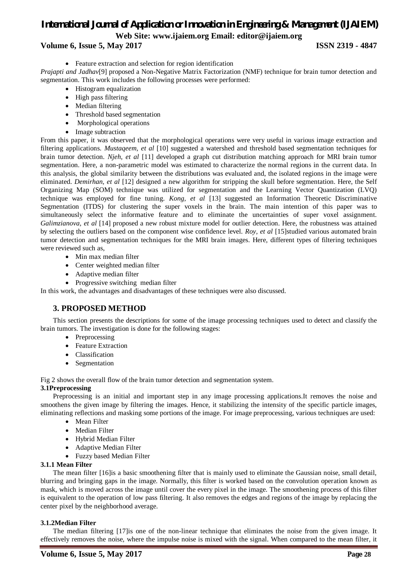### **Volume 6, Issue 5, May 2017 ISSN 2319 - 4847**

Feature extraction and selection for region identification

*Prajapti and Jadhav*[9] proposed a Non-Negative Matrix Factorization (NMF) technique for brain tumor detection and segmentation. This work includes the following processes were performed:

- Histogram equalization
- High pass filtering
- Median filtering
- Threshold based segmentation
- Morphological operations
- Image subtraction

From this paper, it was observed that the morphological operations were very useful in various image extraction and filtering applications. *Mustaqeem, et al* [10] suggested a watershed and threshold based segmentation techniques for brain tumor detection. *Njeh, et al* [11] developed a graph cut distribution matching approach for MRI brain tumor segmentation. Here, a non-parametric model was estimated to characterize the normal regions in the current data. In this analysis, the global similarity between the distributions was evaluated and, the isolated regions in the image were eliminated. *Demirhan, et al* [12] designed a new algorithm for stripping the skull before segmentation. Here, the Self Organizing Map (SOM) technique was utilized for segmentation and the Learning Vector Quantization (LVQ) technique was employed for fine tuning. *Kong, et al* [13] suggested an Information Theoretic Discriminative Segmentation (ITDS) for clustering the super voxels in the brain. The main intention of this paper was to simultaneously select the informative feature and to eliminate the uncertainties of super voxel assignment. *Galimzianova, et al* [14] proposed a new robust mixture model for outlier detection. Here, the robustness was attained by selecting the outliers based on the component wise confidence level. *Roy, et al* [15]studied various automated brain tumor detection and segmentation techniques for the MRI brain images. Here, different types of filtering techniques were reviewed such as,

- Min max median filter
- Center weighted median filter
- Adaptive median filter
- Progressive switching median filter

In this work, the advantages and disadvantages of these techniques were also discussed.

### **3. PROPOSED METHOD**

This section presents the descriptions for some of the image processing techniques used to detect and classify the brain tumors. The investigation is done for the following stages:

- Preprocessing
- Feature Extraction
- Classification
- Segmentation

Fig 2 shows the overall flow of the brain tumor detection and segmentation system.

#### **3.1Preprocessing**

Preprocessing is an initial and important step in any image processing applications.It removes the noise and smoothens the given image by filtering the images. Hence, it stabilizing the intensity of the specific particle images, eliminating reflections and masking some portions of the image. For image preprocessing, various techniques are used:

- Mean Filter
- Median Filter
- Hybrid Median Filter
- Adaptive Median Filter
- Fuzzy based Median Filter

#### **3.1.1 Mean Filter**

The mean filter [16]is a basic smoothening filter that is mainly used to eliminate the Gaussian noise, small detail, blurring and bringing gaps in the image. Normally, this filter is worked based on the convolution operation known as mask, which is moved across the image until cover the every pixel in the image. The smoothening process of this filter is equivalent to the operation of low pass filtering. It also removes the edges and regions of the image by replacing the center pixel by the neighborhood average.

#### **3.1.2Median Filter**

The median filtering [17]is one of the non-linear technique that eliminates the noise from the given image. It effectively removes the noise, where the impulse noise is mixed with the signal. When compared to the mean filter, it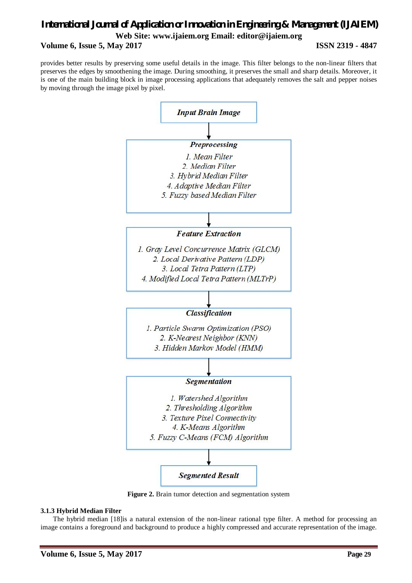## *International Journal of Application or Innovation in Engineering & Management (IJAIEM)* **Web Site: www.ijaiem.org Email: editor@ijaiem.org Volume 6, Issue 5, May 2017 ISSN 2319 - 4847**

provides better results by preserving some useful details in the image. This filter belongs to the non-linear filters that preserves the edges by smoothening the image. During smoothing, it preserves the small and sharp details. Moreover, it is one of the main building block in image processing applications that adequately removes the salt and pepper noises by moving through the image pixel by pixel.



**Figure 2.** Brain tumor detection and segmentation system

#### **3.1.3 Hybrid Median Filter**

The hybrid median [18]is a natural extension of the non-linear rational type filter. A method for processing an image contains a foreground and background to produce a highly compressed and accurate representation of the image.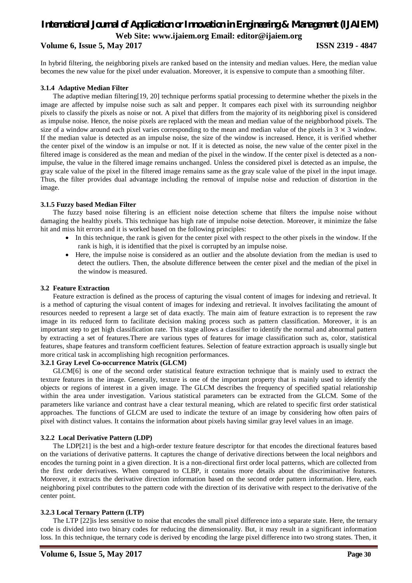## *International Journal of Application or Innovation in Engineering & Management (IJAIEM)* **Web Site: www.ijaiem.org Email: editor@ijaiem.org Volume 6, Issue 5, May 2017 ISSN 2319 - 4847**

In hybrid filtering, the neighboring pixels are ranked based on the intensity and median values. Here, the median value becomes the new value for the pixel under evaluation. Moreover, it is expensive to compute than a smoothing filter.

#### **3.1.4 Adaptive Median Filter**

The adaptive median filtering[19, 20] technique performs spatial processing to determine whether the pixels in the image are affected by impulse noise such as salt and pepper. It compares each pixel with its surrounding neighbor pixels to classify the pixels as noise or not. A pixel that differs from the majority of its neighboring pixel is considered as impulse noise. Hence, the noise pixels are replaced with the mean and median value of the neighborhood pixels. The size of a window around each pixel varies corresponding to the mean and median value of the pixels in  $3 \times 3$  window. If the median value is detected as an impulse noise, the size of the window is increased. Hence, it is verified whether the center pixel of the window is an impulse or not. If it is detected as noise, the new value of the center pixel in the filtered image is considered as the mean and median of the pixel in the window. If the center pixel is detected as a nonimpulse, the value in the filtered image remains unchanged. Unless the considered pixel is detected as an impulse, the gray scale value of the pixel in the filtered image remains same as the gray scale value of the pixel in the input image. Thus, the filter provides dual advantage including the removal of impulse noise and reduction of distortion in the image.

#### **3.1.5 Fuzzy based Median Filter**

The fuzzy based noise filtering is an efficient noise detection scheme that filters the impulse noise without damaging the healthy pixels. This technique has high rate of impulse noise detection. Moreover, it minimize the false hit and miss hit errors and it is worked based on the following principles:

- In this technique, the rank is given for the center pixel with respect to the other pixels in the window. If the rank is high, it is identified that the pixel is corrupted by an impulse noise.
- Here, the impulse noise is considered as an outlier and the absolute deviation from the median is used to detect the outliers. Then, the absolute difference between the center pixel and the median of the pixel in the window is measured.

#### **3.2 Feature Extraction**

Feature extraction is defined as the process of capturing the visual content of images for indexing and retrieval. It is a method of capturing the visual content of images for indexing and retrieval. It involves facilitating the amount of resources needed to represent a large set of data exactly. The main aim of feature extraction is to represent the raw image in its reduced form to facilitate decision making process such as pattern classification. Moreover, it is an important step to get high classification rate. This stage allows a classifier to identify the normal and abnormal pattern by extracting a set of features.There are various types of features for image classification such as, color, statistical features, shape features and transform coefficient features. Selection of feature extraction approach is usually single but more critical task in accomplishing high recognition performances.

#### **3.2.1 Gray Level Co-occurrence Matrix (GLCM)**

GLCM[6] is one of the second order statistical feature extraction technique that is mainly used to extract the texture features in the image. Generally, texture is one of the important property that is mainly used to identify the objects or regions of interest in a given image. The GLCM describes the frequency of specified spatial relationship within the area under investigation. Various statistical parameters can be extracted from the GLCM. Some of the parameters like variance and contrast have a clear textural meaning, which are related to specific first order statistical approaches. The functions of GLCM are used to indicate the texture of an image by considering how often pairs of pixel with distinct values. It contains the information about pixels having similar gray level values in an image.

#### **3.2.2 Local Derivative Pattern (LDP)**

The LDP[21] is the best and a high-order texture feature descriptor for that encodes the directional features based on the variations of derivative patterns. It captures the change of derivative directions between the local neighbors and encodes the turning point in a given direction. It is a non-directional first order local patterns, which are collected from the first order derivatives. When compared to CLBP, it contains more details about the discriminative features. Moreover, it extracts the derivative direction information based on the second order pattern information. Here, each neighboring pixel contributes to the pattern code with the direction of its derivative with respect to the derivative of the center point.

#### **3.2.3 Local Ternary Pattern (LTP)**

The LTP [22]is less sensitive to noise that encodes the small pixel difference into a separate state. Here, the ternary code is divided into two binary codes for reducing the dimensionality. But, it may result in a significant information loss. In this technique, the ternary code is derived by encoding the large pixel difference into two strong states. Then, it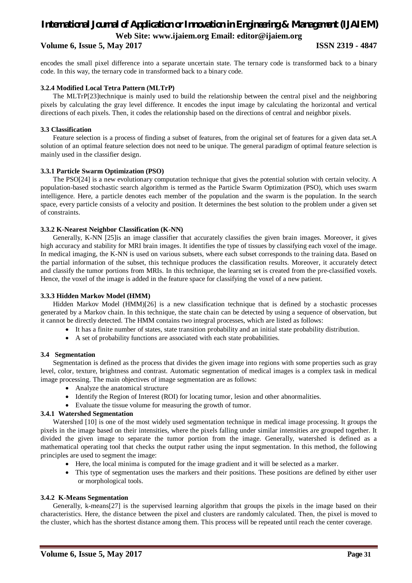### **Volume 6, Issue 5, May 2017 ISSN 2319 - 4847**

encodes the small pixel difference into a separate uncertain state. The ternary code is transformed back to a binary code. In this way, the ternary code in transformed back to a binary code.

#### **3.2.4 Modified Local Tetra Pattern (MLTrP)**

The MLTrP[23]technique is mainly used to build the relationship between the central pixel and the neighboring pixels by calculating the gray level difference. It encodes the input image by calculating the horizontal and vertical directions of each pixels. Then, it codes the relationship based on the directions of central and neighbor pixels.

#### **3.3 Classification**

Feature selection is a process of finding a subset of features, from the original set of features for a given data set.A solution of an optimal feature selection does not need to be unique. The general paradigm of optimal feature selection is mainly used in the classifier design.

#### **3.3.1 Particle Swarm Optimization (PSO)**

The PSO[24] is a new evolutionary computation technique that gives the potential solution with certain velocity. A population-based stochastic search algorithm is termed as the Particle Swarm Optimization (PSO), which uses swarm intelligence. Here, a particle denotes each member of the population and the swarm is the population. In the search space, every particle consists of a velocity and position. It determines the best solution to the problem under a given set of constraints.

#### **3.3.2 K-Nearest Neighbor Classification (K-NN)**

Generally, K-NN [25]is an image classifier that accurately classifies the given brain images. Moreover, it gives high accuracy and stability for MRI brain images. It identifies the type of tissues by classifying each voxel of the image. In medical imaging, the K-NN is used on various subsets, where each subset corresponds to the training data. Based on the partial information of the subset, this technique produces the classification results. Moreover, it accurately detect and classify the tumor portions from MRIs. In this technique, the learning set is created from the pre-classified voxels. Hence, the voxel of the image is added in the feature space for classifying the voxel of a new patient.

#### **3.3.3 Hidden Markov Model (HMM)**

Hidden Markov Model (HMM)[26] is a new classification technique that is defined by a stochastic processes generated by a Markov chain. In this technique, the state chain can be detected by using a sequence of observation, but it cannot be directly detected. The HMM contains two integral processes, which are listed as follows:

- It has a finite number of states, state transition probability and an initial state probability distribution.
- A set of probability functions are associated with each state probabilities.

#### **3.4 Segmentation**

Segmentation is defined as the process that divides the given image into regions with some properties such as gray level, color, texture, brightness and contrast. Automatic segmentation of medical images is a complex task in medical image processing. The main objectives of image segmentation are as follows:

- Analyze the anatomical structure
- Identify the Region of Interest (ROI) for locating tumor, lesion and other abnormalities.
- Evaluate the tissue volume for measuring the growth of tumor.

#### **3.4.1 Watershed Segmentation**

Watershed [10] is one of the most widely used segmentation technique in medical image processing. It groups the pixels in the image based on their intensities, where the pixels falling under similar intensities are grouped together. It divided the given image to separate the tumor portion from the image. Generally, watershed is defined as a mathematical operating tool that checks the output rather using the input segmentation. In this method, the following principles are used to segment the image:

- Here, the local minima is computed for the image gradient and it will be selected as a marker.
- This type of segmentation uses the markers and their positions. These positions are defined by either user or morphological tools.

#### **3.4.2 K-Means Segmentation**

Generally, k-means[27] is the supervised learning algorithm that groups the pixels in the image based on their characteristics. Here, the distance between the pixel and clusters are randomly calculated. Then, the pixel is moved to the cluster, which has the shortest distance among them. This process will be repeated until reach the center coverage.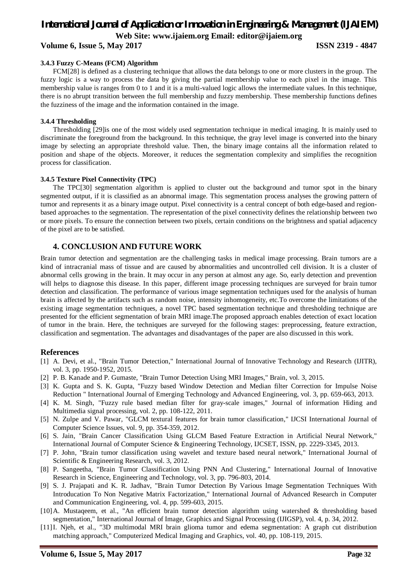**Volume 6, Issue 5, May 2017 ISSN 2319 - 4847**

#### **3.4.3 Fuzzy C-Means (FCM) Algorithm**

FCM[28] is defined as a clustering technique that allows the data belongs to one or more clusters in the group. The fuzzy logic is a way to process the data by giving the partial membership value to each pixel in the image. This membership value is ranges from 0 to 1 and it is a multi-valued logic allows the intermediate values. In this technique, there is no abrupt transition between the full membership and fuzzy membership. These membership functions defines the fuzziness of the image and the information contained in the image.

#### **3.4.4 Thresholding**

Thresholding [29]is one of the most widely used segmentation technique in medical imaging. It is mainly used to discriminate the foreground from the background. In this technique, the gray level image is converted into the binary image by selecting an appropriate threshold value. Then, the binary image contains all the information related to position and shape of the objects. Moreover, it reduces the segmentation complexity and simplifies the recognition process for classification.

#### **3.4.5 Texture Pixel Connectivity (TPC)**

The TPC[30] segmentation algorithm is applied to cluster out the background and tumor spot in the binary segmented output, if it is classified as an abnormal image. This segmentation process analyses the growing pattern of tumor and represents it as a binary image output. Pixel connectivity is a central concept of both edge-based and regionbased approaches to the segmentation. The representation of the pixel connectivity defines the relationship between two or more pixels. To ensure the connection between two pixels, certain conditions on the brightness and spatial adjacency of the pixel are to be satisfied.

#### **4. CONCLUSION AND FUTURE WORK**

Brain tumor detection and segmentation are the challenging tasks in medical image processing. Brain tumors are a kind of intracranial mass of tissue and are caused by abnormalities and uncontrolled cell division. It is a cluster of abnormal cells growing in the brain. It may occur in any person at almost any age. So, early detection and prevention will helps to diagnose this disease. In this paper, different image processing techniques are surveyed for brain tumor detection and classification. The performance of various image segmentation techniques used for the analysis of human brain is affected by the artifacts such as random noise, intensity inhomogeneity, etc.To overcome the limitations of the existing image segmentation techniques, a novel TPC based segmentation technique and thresholding technique are presented for the efficient segmentation of brain MRI image.The proposed approach enables detection of exact location of tumor in the brain. Here, the techniques are surveyed for the following stages: preprocessing, feature extraction, classification and segmentation. The advantages and disadvantages of the paper are also discussed in this work.

#### **References**

- [1] A. Devi, et al., "Brain Tumor Detection," International Journal of Innovative Technology and Research (IJITR), vol. 3, pp. 1950-1952, 2015.
- [2] P. B. Kanade and P. Gumaste, "Brain Tumor Detection Using MRI Images," Brain, vol. 3, 2015.
- [3] K. Gupta and S. K. Gupta, "Fuzzy based Window Detection and Median filter Correction for Impulse Noise Reduction " International Journal of Emerging Technology and Advanced Engineering, vol. 3, pp. 659-663, 2013.
- [4] K. M. Singh, "Fuzzy rule based median filter for gray-scale images," Journal of information Hiding and Multimedia signal processing, vol. 2, pp. 108-122, 2011.
- [5] N. Zulpe and V. Pawar, "GLCM textural features for brain tumor classification," IJCSI International Journal of Computer Science Issues, vol. 9, pp. 354-359, 2012.
- [6] S. Jain, "Brain Cancer Classification Using GLCM Based Feature Extraction in Artificial Neural Network," International Journal of Computer Science & Engineering Technology, IJCSET, ISSN, pp. 2229-3345, 2013.
- [7] P. John, "Brain tumor classification using wavelet and texture based neural network," International Journal of Scientific & Engineering Research, vol. 3, 2012.
- [8] P. Sangeetha, "Brain Tumor Classification Using PNN And Clustering," International Journal of Innovative Research in Science, Engineering and Technology, vol. 3, pp. 796-803, 2014.
- [9] S. J. Prajapati and K. R. Jadhav, "Brain Tumor Detection By Various Image Segmentation Techniques With Introducation To Non Negative Matrix Factorization," International Journal of Advanced Research in Computer and Communication Engineering, vol. 4, pp. 599-603, 2015.
- [10]A. Mustaqeem, et al., "An efficient brain tumor detection algorithm using watershed & thresholding based segmentation," International Journal of Image, Graphics and Signal Processing (IJIGSP), vol. 4, p. 34, 2012.
- [11]I. Njeh, et al., "3D multimodal MRI brain glioma tumor and edema segmentation: A graph cut distribution matching approach," Computerized Medical Imaging and Graphics, vol. 40, pp. 108-119, 2015.